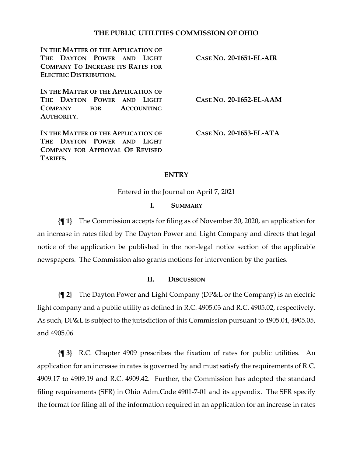### **THE PUBLIC UTILITIES COMMISSION OF OHIO**

**IN THE MATTER OF THE APPLICATION OF THE DAYTON POWER AND LIGHT COMPANY TO INCREASE ITS RATES FOR ELECTRIC DISTRIBUTION.**

**CASE NO. 20-1651-EL-AIR**

**IN THE MATTER OF THE APPLICATION OF THE DAYTON POWER AND LIGHT COMPANY FOR ACCOUNTING AUTHORITY.**

**IN THE MATTER OF THE APPLICATION OF THE DAYTON POWER AND LIGHT COMPANY FOR APPROVAL OF REVISED TARIFFS.**

**CASE NO. 20-1652-EL-AAM**

**CASE NO. 20-1653-EL-ATA**

### **ENTRY**

Entered in the Journal on April 7, 2021

#### **I. SUMMARY**

**{¶ 1}** The Commission accepts for filing as of November 30, 2020, an application for an increase in rates filed by The Dayton Power and Light Company and directs that legal notice of the application be published in the non-legal notice section of the applicable newspapers. The Commission also grants motions for intervention by the parties.

#### **II. DISCUSSION**

**{¶ 2}** The Dayton Power and Light Company (DP&L or the Company) is an electric light company and a public utility as defined in R.C. 4905.03 and R.C. 4905.02, respectively. As such, DP&L is subject to the jurisdiction of this Commission pursuant to 4905.04, 4905.05, and 4905.06.

**{¶ 3}** R.C. Chapter 4909 prescribes the fixation of rates for public utilities. An application for an increase in rates is governed by and must satisfy the requirements of R.C. 4909.17 to 4909.19 and R.C. 4909.42. Further, the Commission has adopted the standard filing requirements (SFR) in Ohio Adm.Code 4901-7-01 and its appendix. The SFR specify the format for filing all of the information required in an application for an increase in rates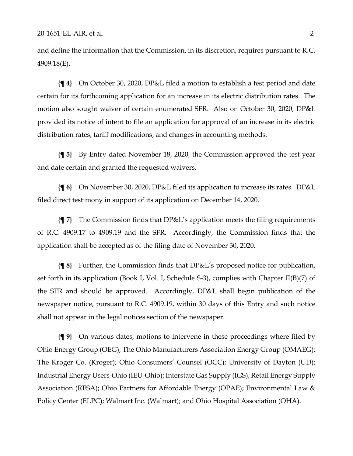and define the information that the Commission, in its discretion, requires pursuant to R.C. 4909.18(E).

**{¶ 4}** On October 30, 2020, DP&L filed a motion to establish a test period and date certain for its forthcoming application for an increase in its electric distribution rates. The motion also sought waiver of certain enumerated SFR. Also on October 30, 2020, DP&L provided its notice of intent to file an application for approval of an increase in its electric distribution rates, tariff modifications, and changes in accounting methods.

**{¶ 5}** By Entry dated November 18, 2020, the Commission approved the test year and date certain and granted the requested waivers.

**{¶ 6}** On November 30, 2020, DP&L filed its application to increase its rates. DP&L filed direct testimony in support of its application on December 14, 2020.

**{¶ 7}** The Commission finds that DP&L's application meets the filing requirements of R.C. 4909.17 to 4909.19 and the SFR. Accordingly, the Commission finds that the application shall be accepted as of the filing date of November 30, 2020.

**{¶ 8}** Further, the Commission finds that DP&L's proposed notice for publication, set forth in its application (Book I, Vol. I, Schedule S-3), complies with Chapter II(B)(7) of the SFR and should be approved. Accordingly, DP&L shall begin publication of the newspaper notice, pursuant to R.C. 4909.19, within 30 days of this Entry and such notice shall not appear in the legal notices section of the newspaper.

**{¶ 9}** On various dates, motions to intervene in these proceedings where filed by Ohio Energy Group (OEG); The Ohio Manufacturers Association Energy Group (OMAEG); The Kroger Co. (Kroger); Ohio Consumers' Counsel (OCC); University of Dayton (UD); Industrial Energy Users-Ohio (IEU-Ohio); Interstate Gas Supply (IGS); Retail Energy Supply Association (RESA); Ohio Partners for Affordable Energy (OPAE); Environmental Law & Policy Center (ELPC); Walmart Inc. (Walmart); and Ohio Hospital Association (OHA).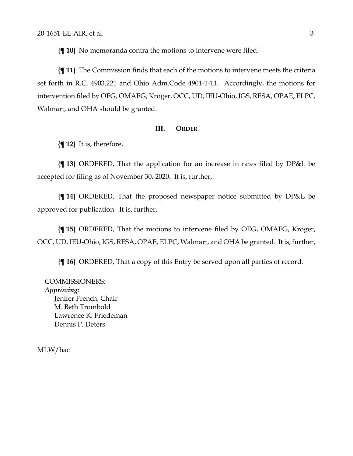**{¶ 10}** No memoranda contra the motions to intervene were filed.

**{¶ 11}** The Commission finds that each of the motions to intervene meets the criteria set forth in R.C. 4903.221 and Ohio Adm.Code 4901-1-11. Accordingly, the motions for intervention filed by OEG, OMAEG, Kroger, OCC, UD, IEU-Ohio, IGS, RESA, OPAE, ELPC, Walmart, and OHA should be granted.

#### **III. ORDER**

**{¶ 12}** It is, therefore,

**{¶ 13}** ORDERED, That the application for an increase in rates filed by DP&L be accepted for filing as of November 30, 2020. It is, further,

**{¶ 14}** ORDERED, That the proposed newspaper notice submitted by DP&L be approved for publication. It is, further,

**{¶ 15}** ORDERED, That the motions to intervene filed by OEG, OMAEG, Kroger, OCC, UD, IEU-Ohio, IGS, RESA, OPAE, ELPC, Walmart, and OHA be granted. It is, further,

**{¶ 16}** ORDERED, That a copy of this Entry be served upon all parties of record.

COMMISSIONERS: *Approving:*  Jenifer French, Chair M. Beth Trombold Lawrence K. Friedeman Dennis P. Deters

MLW/hac